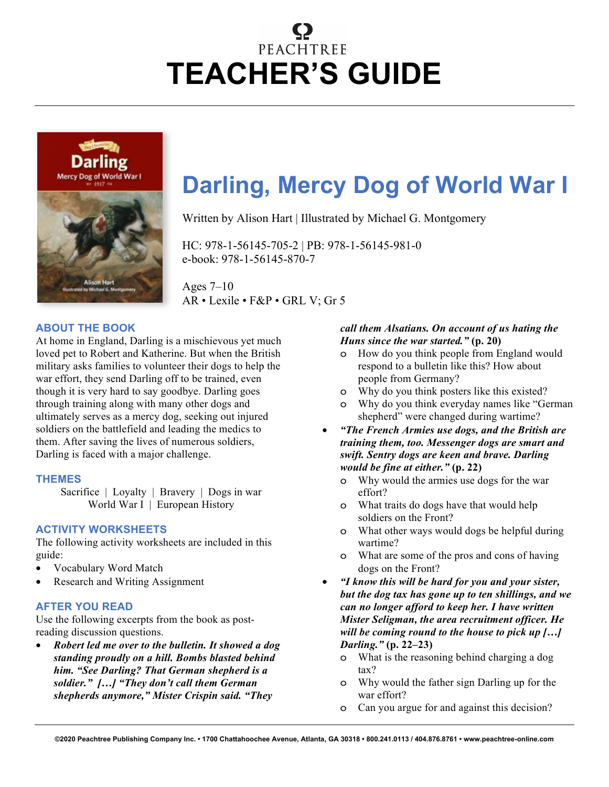# PEACHTREE **TEACHER'S GUIDE**



## **Darling, Mercy Dog of World War I**

Written by Alison Hart | Illustrated by Michael G. Montgomery

HC: 978-1-56145-705-2 | PB: 978-1-56145-981-0 e-book: 978-1-56145-870-7

Ages 7–10 AR • Lexile • F&P • GRL V; Gr 5

#### **ABOUT THE BOOK**

At home in England, Darling is a mischievous yet much loved pet to Robert and Katherine. But when the British military asks families to volunteer their dogs to help the war effort, they send Darling off to be trained, even though it is very hard to say goodbye. Darling goes through training along with many other dogs and ultimately serves as a mercy dog, seeking out injured soldiers on the battlefield and leading the medics to them. After saving the lives of numerous soldiers, Darling is faced with a major challenge.

#### **THEMES**

Sacrifice | Loyalty | Bravery | Dogs in war World War I | European History

#### **ACTIVITY WORKSHEETS**

The following activity worksheets are included in this guide:

- Vocabulary Word Match
- Research and Writing Assignment

#### **AFTER YOU READ**

Use the following excerpts from the book as postreading discussion questions.

• *Robert led me over to the bulletin. It showed a dog standing proudly on a hill. Bombs blasted behind him. "See Darling? That German shepherd is a soldier." […] "They don't call them German shepherds anymore," Mister Crispin said. "They* 

#### *call them Alsatians. On account of us hating the Huns since the war started."* **(p. 20)**

- o How do you think people from England would respond to a bulletin like this? How about people from Germany?
- o Why do you think posters like this existed?
- Why do you think everyday names like "German" shepherd" were changed during wartime?
- *"The French Armies use dogs, and the British are training them, too. Messenger dogs are smart and swift. Sentry dogs are keen and brave. Darling would be fine at either."* **(p. 22)**
	- o Why would the armies use dogs for the war effort?
	- o What traits do dogs have that would help soldiers on the Front?
	- o What other ways would dogs be helpful during wartime?
	- o What are some of the pros and cons of having dogs on the Front?
- *"I know this will be hard for you and your sister, but the dog tax has gone up to ten shillings, and we can no longer afford to keep her. I have written Mister Seligman, the area recruitment officer. He will be coming round to the house to pick up […] Darling."* **(p. 22–23)**
	- o What is the reasoning behind charging a dog tax?
	- o Why would the father sign Darling up for the war effort?
	- o Can you argue for and against this decision?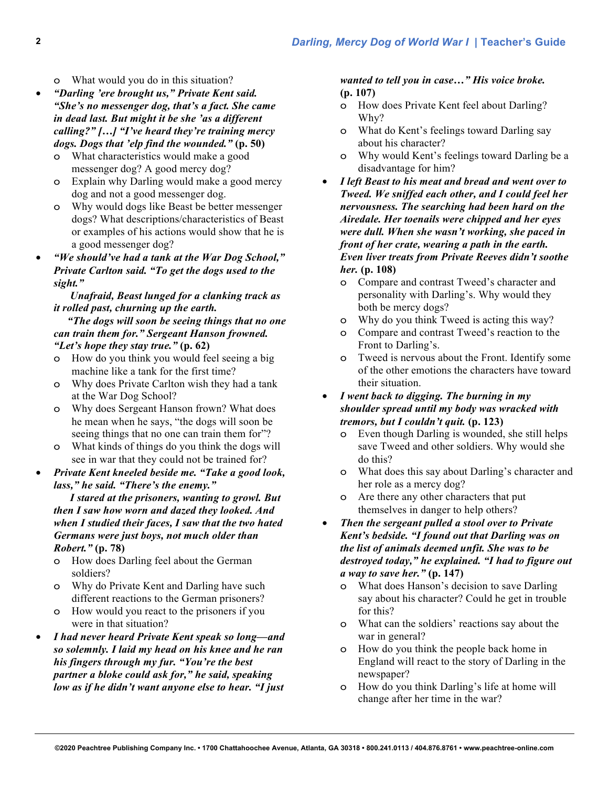o What would you do in this situation?

- *"Darling 'ere brought us," Private Kent said. "She's no messenger dog, that's a fact. She came in dead last. But might it be she 'as a different calling?" […] "I've heard they're training mercy dogs. Dogs that 'elp find the wounded."* **(p. 50)**
	- o What characteristics would make a good messenger dog? A good mercy dog?
	- o Explain why Darling would make a good mercy dog and not a good messenger dog.
	- o Why would dogs like Beast be better messenger dogs? What descriptions/characteristics of Beast or examples of his actions would show that he is a good messenger dog?
- *"We should've had a tank at the War Dog School," Private Carlton said. "To get the dogs used to the sight."*

#### *Unafraid, Beast lunged for a clanking track as it rolled past, churning up the earth.*

 *"The dogs will soon be seeing things that no one can train them for." Sergeant Hanson frowned. "Let's hope they stay true."* **(p. 62)**

- o How do you think you would feel seeing a big machine like a tank for the first time?
- o Why does Private Carlton wish they had a tank at the War Dog School?
- o Why does Sergeant Hanson frown? What does he mean when he says, "the dogs will soon be seeing things that no one can train them for"?
- o What kinds of things do you think the dogs will see in war that they could not be trained for?
- *Private Kent kneeled beside me. "Take a good look, lass," he said. "There's the enemy."*

 *I stared at the prisoners, wanting to growl. But then I saw how worn and dazed they looked. And when I studied their faces, I saw that the two hated Germans were just boys, not much older than Robert."* **(p. 78)**

- o How does Darling feel about the German soldiers?
- o Why do Private Kent and Darling have such different reactions to the German prisoners?
- o How would you react to the prisoners if you were in that situation?
- *I had never heard Private Kent speak so long—and so solemnly. I laid my head on his knee and he ran his fingers through my fur. "You're the best partner a bloke could ask for," he said, speaking low as if he didn't want anyone else to hear. "I just*

#### *wanted to tell you in case…" His voice broke.*  **(p. 107)**

- o How does Private Kent feel about Darling? Why?
- o What do Kent's feelings toward Darling say about his character?
- o Why would Kent's feelings toward Darling be a disadvantage for him?
- *I left Beast to his meat and bread and went over to Tweed. We sniffed each other, and I could feel her nervousness. The searching had been hard on the Airedale. Her toenails were chipped and her eyes were dull. When she wasn't working, she paced in front of her crate, wearing a path in the earth. Even liver treats from Private Reeves didn't soothe her.* **(p. 108)**
	- o Compare and contrast Tweed's character and personality with Darling's. Why would they both be mercy dogs?
	- o Why do you think Tweed is acting this way?
	- o Compare and contrast Tweed's reaction to the Front to Darling's.
	- o Tweed is nervous about the Front. Identify some of the other emotions the characters have toward their situation.
- *I went back to digging. The burning in my shoulder spread until my body was wracked with tremors, but I couldn't quit.* **(p. 123)**
	- o Even though Darling is wounded, she still helps save Tweed and other soldiers. Why would she do this?
	- o What does this say about Darling's character and her role as a mercy dog?
	- o Are there any other characters that put themselves in danger to help others?
- *Then the sergeant pulled a stool over to Private Kent's bedside. "I found out that Darling was on the list of animals deemed unfit. She was to be destroyed today," he explained. "I had to figure out a way to save her."* **(p. 147)**
	- o What does Hanson's decision to save Darling say about his character? Could he get in trouble for this?
	- o What can the soldiers' reactions say about the war in general?
	- o How do you think the people back home in England will react to the story of Darling in the newspaper?
	- o How do you think Darling's life at home will change after her time in the war?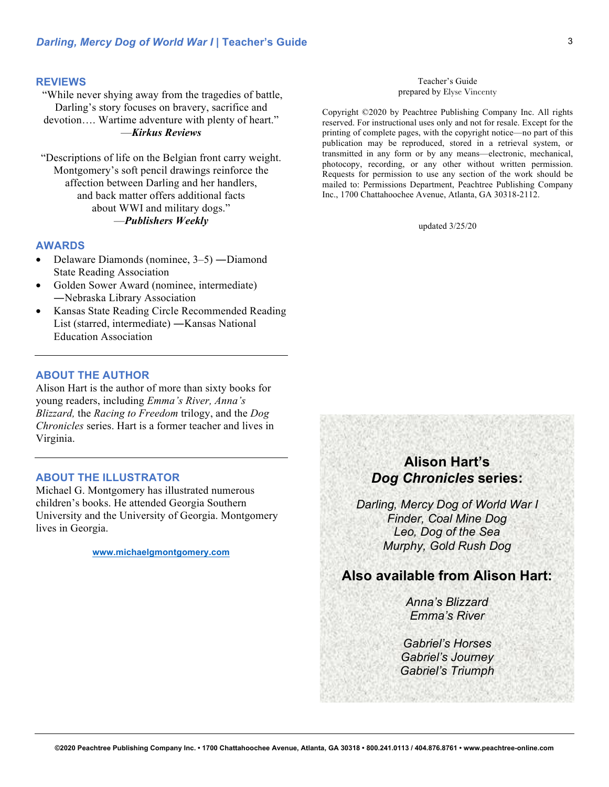#### **REVIEWS**

"While never shying away from the tragedies of battle, Darling's story focuses on bravery, sacrifice and devotion…. Wartime adventure with plenty of heart." —*Kirkus Reviews*

"Descriptions of life on the Belgian front carry weight. Montgomery's soft pencil drawings reinforce the affection between Darling and her handlers, and back matter offers additional facts about WWI and military dogs." —*Publishers Weekly*

#### **AWARDS**

- Delaware Diamonds (nominee, 3–5) ―Diamond State Reading Association
- Golden Sower Award (nominee, intermediate) ―Nebraska Library Association
- Kansas State Reading Circle Recommended Reading List (starred, intermediate) ―Kansas National Education Association

#### **ABOUT THE AUTHOR**

Alison Hart is the author of more than sixty books for young readers, including *Emma's River, Anna's Blizzard,* the *Racing to Freedom* trilogy, and the *Dog Chronicles* series. Hart is a former teacher and lives in Virginia.

#### **ABOUT THE ILLUSTRATOR**

Michael G. Montgomery has illustrated numerous children's books. He attended Georgia Southern University and the University of Georgia. Montgomery lives in Georgia.

**www.michaelgmontgomery.com**

#### Teacher's Guide prepared by Elyse Vincenty

Copyright ©2020 by Peachtree Publishing Company Inc. All rights reserved. For instructional uses only and not for resale. Except for the printing of complete pages, with the copyright notice—no part of this publication may be reproduced, stored in a retrieval system, or transmitted in any form or by any means—electronic, mechanical, photocopy, recording, or any other without written permission. Requests for permission to use any section of the work should be mailed to: Permissions Department, Peachtree Publishing Company Inc., 1700 Chattahoochee Avenue, Atlanta, GA 30318-2112.

updated 3/25/20

## **Alison Hart's** *Dog Chronicles* **series:**

*Darling, Mercy Dog of World War I Finder, Coal Mine Dog Leo, Dog of the Sea Murphy, Gold Rush Dog*

### **Also available from Alison Hart:**

*Anna's Blizzard Emma's River*

*Gabriel's Horses Gabriel's Journey Gabriel's Triumph*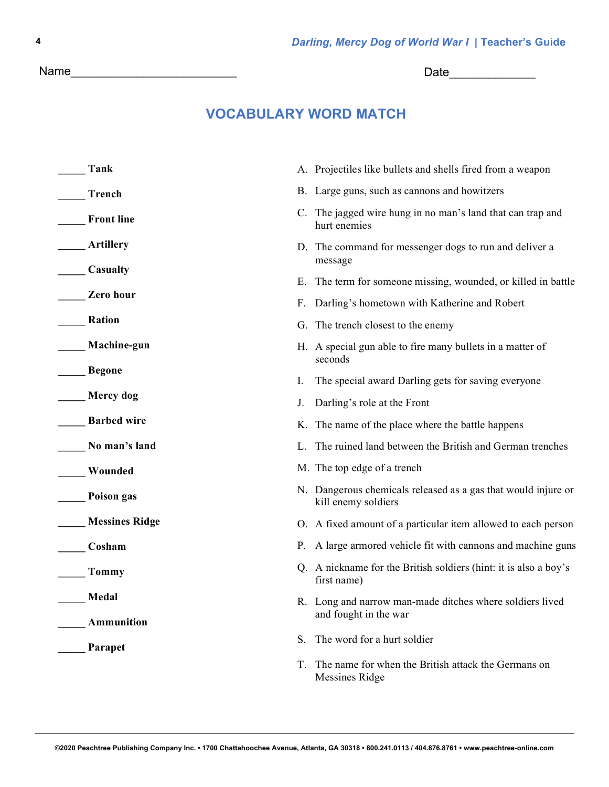**©2020 Peachtree Publishing Company Inc. • 1700 Chattahoochee Avenue, Atlanta, GA 30318 • 800.241.0113 / 404.876.8761 • www.peachtree-online.com**

Name\_\_\_\_\_\_\_\_\_\_\_\_\_\_\_\_\_\_\_\_\_\_\_\_\_ Date\_\_\_\_\_\_\_\_\_\_\_\_\_

## **VOCABULARY WORD MATCH**

| Tank                  |    | A. Projectiles like bullets and shells fired from a weapon                           |
|-----------------------|----|--------------------------------------------------------------------------------------|
| Trench                |    | B. Large guns, such as cannons and howitzers                                         |
| <b>Front line</b>     |    | C. The jagged wire hung in no man's land that can trap and<br>hurt enemies           |
| <b>Artillery</b>      |    | D. The command for messenger dogs to run and deliver a<br>message                    |
| Casualty              |    | E. The term for someone missing, wounded, or killed in battle                        |
| Zero hour             |    | F. Darling's hometown with Katherine and Robert                                      |
| Ration                |    | G. The trench closest to the enemy                                                   |
| Machine-gun           |    | H. A special gun able to fire many bullets in a matter of<br>seconds                 |
| <b>Begone</b>         | I. | The special award Darling gets for saving everyone                                   |
| <b>Mercy</b> dog      | J. | Darling's role at the Front                                                          |
| <b>Barbed wire</b>    |    | K. The name of the place where the battle happens                                    |
| No man's land         |    | L. The ruined land between the British and German trenches                           |
| Wounded               |    | M. The top edge of a trench                                                          |
| Poison gas            |    | N. Dangerous chemicals released as a gas that would injure or<br>kill enemy soldiers |
| <b>Messines Ridge</b> |    | O. A fixed amount of a particular item allowed to each person                        |
| Cosham                |    | P. A large armored vehicle fit with cannons and machine guns                         |
| Tommy                 |    | Q. A nickname for the British soldiers (hint: it is also a boy's<br>first name)      |
| Medal                 |    | R. Long and narrow man-made ditches where soldiers lived                             |
| Ammunition            |    | and fought in the war                                                                |
| Parapet               | S. | The word for a hurt soldier                                                          |
|                       | Т. | The name for when the British attack the Germans on<br>Messines Ridge                |

**4**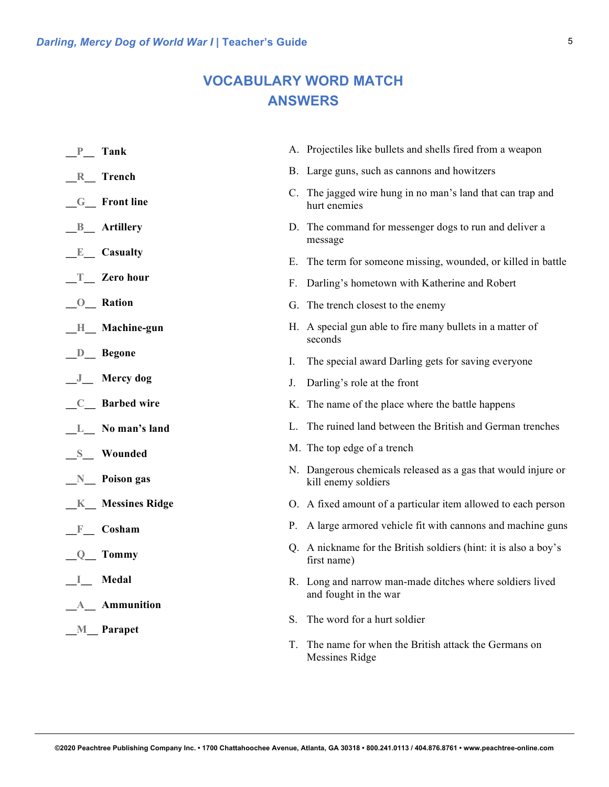## **VOCABULARY WORD MATCH ANSWERS**

| P Tank                                  |    | A. Projectiles like bullets and shells fired from a weapon                           |
|-----------------------------------------|----|--------------------------------------------------------------------------------------|
| $R$ Trench                              |    | B. Large guns, such as cannons and howitzers                                         |
| G_ Front line                           |    | C. The jagged wire hung in no man's land that can trap and<br>hurt enemies           |
| <b>B</b> Artillery                      |    | D. The command for messenger dogs to run and deliver a<br>message                    |
| $E$ Casualty                            |    | E. The term for someone missing, wounded, or killed in battle                        |
| $T$ Zero hour                           |    | F. Darling's hometown with Katherine and Robert                                      |
| <b>O</b> Ration                         |    | G. The trench closest to the enemy                                                   |
| H Machine-gun                           |    | H. A special gun able to fire many bullets in a matter of<br>seconds                 |
| $D$ Begone                              | I. | The special award Darling gets for saving everyone                                   |
| J_Mercy dog                             | J. | Darling's role at the front                                                          |
| C_ Barbed wire                          |    | K. The name of the place where the battle happens                                    |
| L No man's land                         |    | L. The ruined land between the British and German trenches                           |
| S Wounded                               |    | M. The top edge of a trench                                                          |
| $N$ Poison gas                          |    | N. Dangerous chemicals released as a gas that would injure or<br>kill enemy soldiers |
| <b>K</b> Messines Ridge                 |    | O. A fixed amount of a particular item allowed to each person                        |
| Cosham<br>$\mathbf F$                   |    | P. A large armored vehicle fit with cannons and machine guns                         |
| $Q$ Tommy                               |    | Q. A nickname for the British soldiers (hint: it is also a boy's<br>first name)      |
| Medal                                   |    | R. Long and narrow man-made ditches where soldiers lived<br>and fought in the war    |
| A_ Ammunition<br>M <sub>_</sub> Parapet | S. | The word for a hurt soldier                                                          |
|                                         | T. | The name for when the British attack the Germans on<br><b>Messines Ridge</b>         |